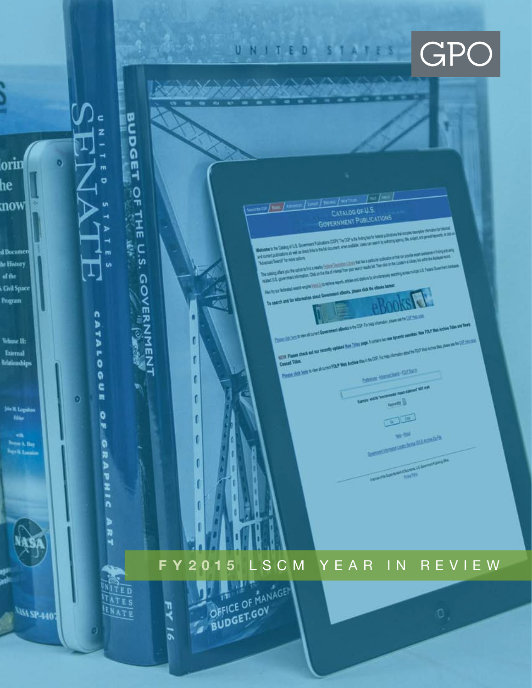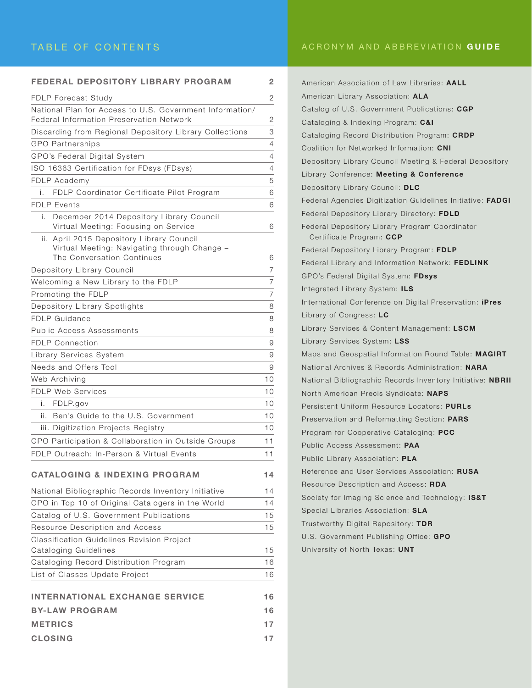#### TABLE OF CONTENTS

|  |  | ACRONYM AND ABBREVIATION GUIDE |  |  |
|--|--|--------------------------------|--|--|
|--|--|--------------------------------|--|--|

| FEDERAL DEPOSITORY LIBRARY PROGRAM                                                                          | $\overline{2}$ |
|-------------------------------------------------------------------------------------------------------------|----------------|
| <b>FDLP Forecast Study</b>                                                                                  | 2              |
| National Plan for Access to U.S. Government Information/<br><b>Federal Information Preservation Network</b> | 2              |
| Discarding from Regional Depository Library Collections                                                     | 3              |
| <b>GPO Partnerships</b>                                                                                     | 4              |
| GPO's Federal Digital System                                                                                | 4              |
| ISO 16363 Certification for FDsys (FDsys)                                                                   | $\overline{4}$ |
| FDLP Academy                                                                                                | 5              |
| FDLP Coordinator Certificate Pilot Program<br>i.                                                            | 6              |
| <b>FDLP Events</b>                                                                                          | 6              |
| December 2014 Depository Library Council<br>i.<br>Virtual Meeting: Focusing on Service                      | 6              |
| ii. April 2015 Depository Library Council                                                                   |                |
| Virtual Meeting: Navigating through Change -                                                                |                |
| The Conversation Continues                                                                                  | 6              |
| Depository Library Council                                                                                  | $\overline{7}$ |
| Welcoming a New Library to the FDLP                                                                         | $\overline{7}$ |
| Promoting the FDLP                                                                                          | $\overline{7}$ |
| Depository Library Spotlights                                                                               | 8              |
| <b>FDLP Guidance</b>                                                                                        | 8              |
| Public Access Assessments                                                                                   | 8              |
| <b>FDLP Connection</b>                                                                                      | 9              |
| Library Services System                                                                                     | 9              |
| Needs and Offers Tool                                                                                       | 9              |
| Web Archiving                                                                                               | 10             |
| <b>FDLP Web Services</b>                                                                                    | 10             |
| FDLP.gov<br>i.                                                                                              | 10             |
| ii. Ben's Guide to the U.S. Government                                                                      | 10             |
| iii. Digitization Projects Registry                                                                         | 10             |
| GPO Participation & Collaboration in Outside Groups                                                         | 11             |
| FDLP Outreach: In-Person & Virtual Events                                                                   | 11             |
| <b>CATALOGING &amp; INDEXING PROGRAM</b>                                                                    | 14             |
| National Bibliographic Records Inventory Initiative                                                         | 14             |
| GPO in Top 10 of Original Catalogers in the World                                                           | 14             |
| Catalog of U.S. Government Publications                                                                     | 15             |
| Resource Description and Access                                                                             | 15             |
| <b>Classification Guidelines Revision Project</b>                                                           |                |
| Cataloging Guidelines                                                                                       | 15             |
| Cataloging Record Distribution Program                                                                      | 16             |
| List of Classes Update Project                                                                              | 16             |
| <b>INTERNATIONAL EXCHANGE SERVICE</b>                                                                       | 16             |
| <b>BY-LAW PROGRAM</b>                                                                                       | 16             |
| <b>METRICS</b>                                                                                              | 17             |
| <b>CLOSING</b>                                                                                              | 17             |
|                                                                                                             |                |

| American Association of Law Libraries: AALL                                |
|----------------------------------------------------------------------------|
| American Library Association: ALA                                          |
| Catalog of U.S. Government Publications: CGP                               |
| Cataloging & Indexing Program: <b>C&amp;I</b>                              |
| Cataloging Record Distribution Program: <b>CRDP</b>                        |
| Coalition for Networked Information: CNI                                   |
| Depository Library Council Meeting & Federal Depository                    |
| Library Conference: Meeting & Conference                                   |
| Depository Library Council: DLC                                            |
| Federal Agencies Digitization Guidelines Initiative: FADGI                 |
| Federal Depository Library Directory: FDLD                                 |
| Federal Depository Library Program Coordinator<br>Certificate Program: CCP |
| Federal Depository Library Program: FDLP                                   |
| Federal Library and Information Network: FEDLINK                           |
| GPO's Federal Digital System: FDsys                                        |
| Integrated Library System: ILS                                             |
| International Conference on Digital Preservation: <b>iPres</b>             |
| Library of Congress: LC                                                    |
| Library Services & Content Management: LSCM                                |
| Library Services System: LSS                                               |
| Maps and Geospatial Information Round Table: MAGIRT                        |
| National Archives & Records Administration: NARA                           |
| National Bibliographic Records Inventory Initiative: NBRII                 |
| North American Precis Syndicate: NAPS                                      |
| Persistent Uniform Resource Locators: PURLs                                |
| Preservation and Reformatting Section: PARS                                |
| Program for Cooperative Cataloging: <b>PCC</b>                             |
| Public Access Assessment: PAA                                              |
| Public Library Association: PLA                                            |
| Reference and User Services Association: RUSA                              |
| Resource Description and Access: RDA                                       |
| Society for Imaging Science and Technology: IS&T                           |
| Special Libraries Association: SLA                                         |
| Trustworthy Digital Repository: TDR                                        |
| U.S. Government Publishing Office: GPO                                     |
| University of North Texas: UNT                                             |
|                                                                            |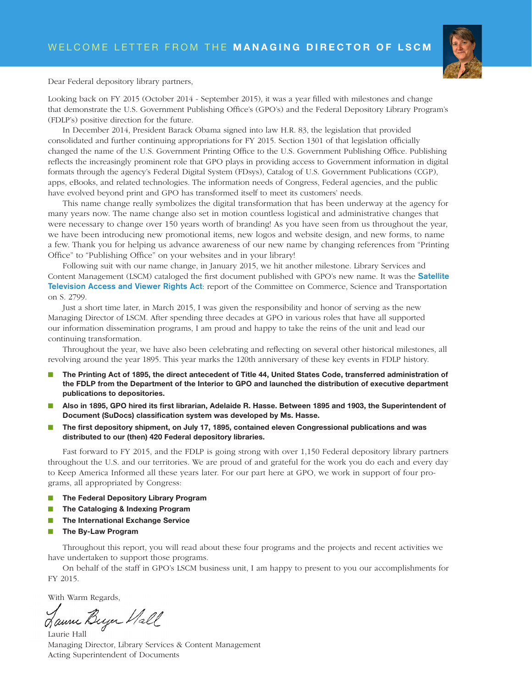

Dear Federal depository library partners,

Looking back on FY 2015 (October 2014 - September 2015), it was a year filled with milestones and change that demonstrate the U.S. Government Publishing Office's (GPO's) and the Federal Depository Library Program's (FDLP's) positive direction for the future.

In December 2014, President Barack Obama signed into law H.R. 83, the legislation that provided consolidated and further continuing appropriations for FY 2015. Section 1301 of that legislation officially changed the name of the U.S. Government Printing Office to the U.S. Government Publishing Office. Publishing reflects the increasingly prominent role that GPO plays in providing access to Government information in digital formats through the agency's Federal Digital System (FDsys), Catalog of U.S. Government Publications (CGP), apps, eBooks, and related technologies. The information needs of Congress, Federal agencies, and the public have evolved beyond print and GPO has transformed itself to meet its customers' needs.

This name change really symbolizes the digital transformation that has been underway at the agency for many years now. The name change also set in motion countless logistical and administrative changes that were necessary to change over 150 years worth of branding! As you have seen from us throughout the year, we have been introducing new promotional items, new logos and website design, and new forms, to name a few. Thank you for helping us advance awareness of our new name by changing references from "Printing Office" to "Publishing Office" on your websites and in your library!

Following suit with our name change, in January 2015, we hit another milestone. Library Services and Content Management (LSCM) cataloged the first document published with GPO's new name. It was the **Satellite** Television Access and Viewer Rights Act: report of the Committee on Commerce, Science and Transportation on S. 2799.

Just a short time later, in March 2015, I was given the responsibility and honor of serving as the new Managing Director of LSCM. After spending three decades at GPO in various roles that have all supported our information dissemination programs, I am proud and happy to take the reins of the unit and lead our continuing transformation.

Throughout the year, we have also been celebrating and reflecting on several other historical milestones, all revolving around the year 1895. This year marks the 120th anniversary of these key events in FDLP history.

- n The Printing Act of 1895, the direct antecedent of Title 44, United States Code, transferred administration of the FDLP from the Department of the Interior to GPO and launched the distribution of executive department publications to depositories.
- n Also in 1895, GPO hired its first librarian, Adelaide R. Hasse. Between 1895 and 1903, the Superintendent of Document (SuDocs) classification system was developed by Ms. Hasse.
- The first depository shipment, on July 17, 1895, contained eleven Congressional publications and was distributed to our (then) 420 Federal depository libraries.

Fast forward to FY 2015, and the FDLP is going strong with over 1,150 Federal depository library partners throughout the U.S. and our territories. We are proud of and grateful for the work you do each and every day to Keep America Informed all these years later. For our part here at GPO, we work in support of four programs, all appropriated by Congress:

- **n** The Federal Depository Library Program
- The Cataloging & Indexing Program
- The International Exchange Service
- **n** The By-Law Program

Throughout this report, you will read about these four programs and the projects and recent activities we have undertaken to support those programs.

On behalf of the staff in GPO's LSCM business unit, I am happy to present to you our accomplishments for FY 2015.

With Warm Regards,

Jaune Beyer Hall

Laurie Hall Managing Director, Library Services & Content Management Acting Superintendent of Documents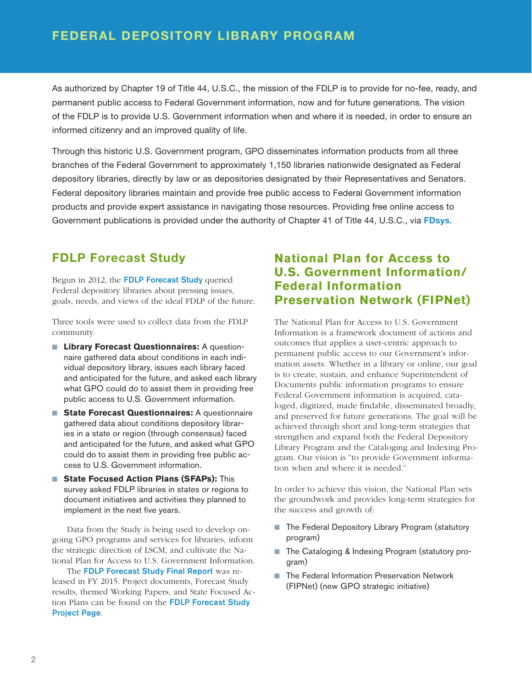As authorized by Chapter 19 of Title 44, U.S.C., the mission of the FDLP is to provide for no-fee, ready, and permanent public access to Federal Government information, now and for future generations. The vision of the FDLP is to provide U.S. Government information when and where it is needed, in order to ensure an informed citizenry and an improved quality of life.

Through this historic U.S. Government program, GPO disseminates information products from all three branches of the Federal Government to approximately 1,150 libraries nationwide designated as Federal depository libraries, directly by law or as depositories designated by their Representatives and Senators. Federal depository libraries maintain and provide free public access to Federal Government information products and provide expert assistance in navigating those resources. Providing free online access to Government publications is provided under the authority of Chapter 41 of Title 44, U.S.C., via FDsys.

## FDLP Forecast Study

Begun in 2012, the FDLP Forecast Study queried Federal depository libraries about pressing issues, goals, needs, and views of the ideal FDLP of the future.

Three tools were used to collect data from the FDLP community.

- Library Forecast Questionnaires: A questionnaire gathered data about conditions in each individual depository library, issues each library faced and anticipated for the future, and asked each library what GPO could do to assist them in providing free public access to U.S. Government information.
- **State Forecast Questionnaires:** A questionnaire gathered data about conditions depository libraries in a state or region (through consensus) faced and anticipated for the future, and asked what GPO could do to assist them in providing free public access to U.S. Government information.
- **State Focused Action Plans (SFAPs):** This survey asked FDLP libraries in states or regions to document initiatives and activities they planned to implement in the next five years.

Data from the Study is being used to develop ongoing GPO programs and services for libraries, inform the strategic direction of LSCM, and cultivate the National Plan for Access to U.S. Government Information.

The FDLP Forecast Study Final Report was released in FY 2015. Project documents, Forecast Study results, themed Working Papers, and State Focused Action Plans can be found on the FDLP Forecast Study Project Page.

## **National Plan for Access to U.S. Government Information/ Federal Information Preservation Network (FIPNet)**

The National Plan for Access to U.S. Government Information is a framework document of actions and outcomes that applies a user-centric approach to permanent public access to our Government's information assets. Whether in a library or online, our goal is to create, sustain, and enhance Superintendent of Documents public information programs to ensure Federal Government information is acquired, cataloged, digitized, made findable, disseminated broadly, and preserved for future generations. The goal will be achieved through short and long-term strategies that strengthen and expand both the Federal Depository Library Program and the Cataloging and Indexing Program. Our vision is "to provide Government information when and where it is needed."

In order to achieve this vision, the National Plan sets the groundwork and provides long-term strategies for the success and growth of:

- The Federal Depository Library Program (statutory program)
- The Cataloging & Indexing Program (statutory program)
- The Federal Information Preservation Network (FIPNet) (new GPO strategic initiative)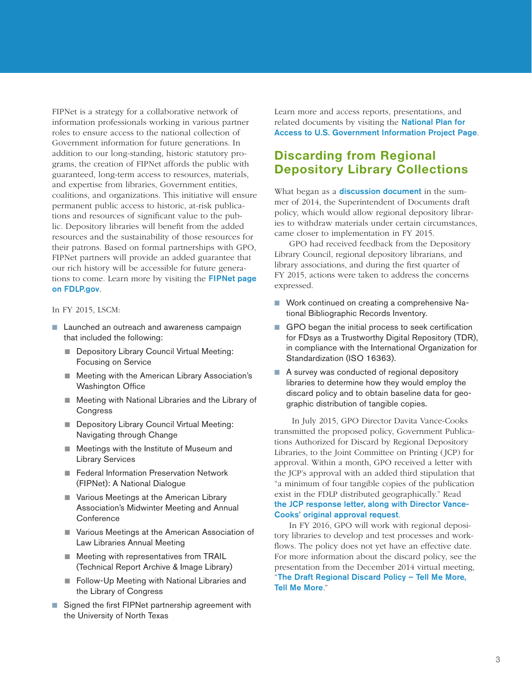FIPNet is a strategy for a collaborative network of information professionals working in various partner roles to ensure access to the national collection of Government information for future generations. In addition to our long-standing, historic statutory programs, the creation of FIPNet affords the public with guaranteed, long-term access to resources, materials, and expertise from libraries, Government entities, coalitions, and organizations. This initiative will ensure permanent public access to historic, at-risk publications and resources of significant value to the public. Depository libraries will benefit from the added resources and the sustainability of those resources for their patrons. Based on formal partnerships with GPO, FIPNet partners will provide an added guarantee that our rich history will be accessible for future generations to come. Learn more by visiting the FIPNet page on FDLP.gov.

In FY 2015, LSCM:

- Launched an outreach and awareness campaign that included the following:
	- Depository Library Council Virtual Meeting: Focusing on Service
	- Meeting with the American Library Association's Washington Office
	- Meeting with National Libraries and the Library of **Congress**
	- Depository Library Council Virtual Meeting: Navigating through Change
	- Meetings with the Institute of Museum and Library Services
	- Federal Information Preservation Network (FIPNet): A National Dialogue
	- Various Meetings at the American Library Association's Midwinter Meeting and Annual **Conference**
	- Various Meetings at the American Association of Law Libraries Annual Meeting
	- Meeting with representatives from TRAIL (Technical Report Archive & Image Library)
	- Follow-Up Meeting with National Libraries and the Library of Congress
- Signed the first FIPNet partnership agreement with the University of North Texas

Learn more and access reports, presentations, and related documents by visiting the **National Plan for** Access to U.S. Government Information Project Page.

### Discarding from Regional Depository Library Collections

What began as a **discussion document** in the summer of 2014, the Superintendent of Documents draft policy, which would allow regional depository libraries to withdraw materials under certain circumstances, came closer to implementation in FY 2015.

GPO had received feedback from the Depository Library Council, regional depository librarians, and library associations, and during the first quarter of FY 2015, actions were taken to address the concerns expressed.

- Work continued on creating a comprehensive National Bibliographic Records Inventory.
- GPO began the initial process to seek certification for FDsys as a Trustworthy Digital Repository (TDR), in compliance with the International Organization for Standardization (ISO 16363).
- A survey was conducted of regional depository libraries to determine how they would employ the discard policy and to obtain baseline data for geographic distribution of tangible copies.

 In July 2015, GPO Director Davita Vance-Cooks transmitted the proposed policy, Government Publications Authorized for Discard by Regional Depository Libraries, to the Joint Committee on Printing (JCP) for approval. Within a month, GPO received a letter with the JCP's approval with an added third stipulation that "a minimum of four tangible copies of the publication exist in the FDLP distributed geographically." Read the JCP response letter, along with Director Vance-Cooks' original approval request.

In FY 2016, GPO will work with regional depository libraries to develop and test processes and workflows. The policy does not yet have an effective date. For more information about the discard policy, see the presentation from the December 2014 virtual meeting, "The Draft Regional Discard Policy – Tell Me More, Tell Me More."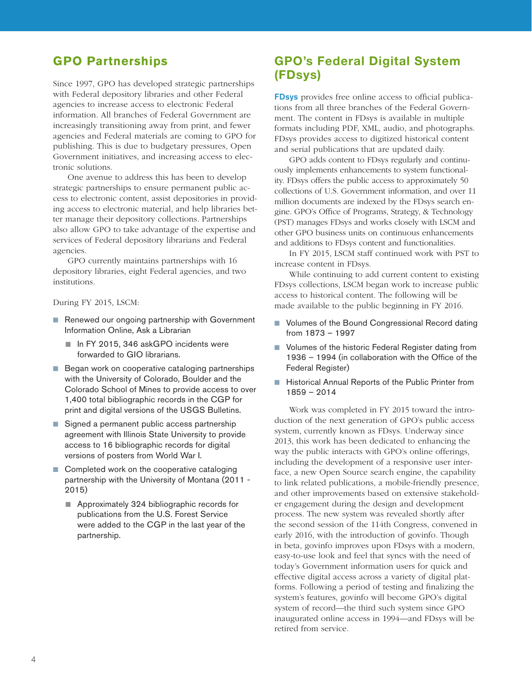## **GPO Partnerships**

Since 1997, GPO has developed strategic partnerships with Federal depository libraries and other Federal agencies to increase access to electronic Federal information. All branches of Federal Government are increasingly transitioning away from print, and fewer agencies and Federal materials are coming to GPO for publishing. This is due to budgetary pressures, Open Government initiatives, and increasing access to electronic solutions.

One avenue to address this has been to develop strategic partnerships to ensure permanent public access to electronic content, assist depositories in providing access to electronic material, and help libraries better manage their depository collections. Partnerships also allow GPO to take advantage of the expertise and services of Federal depository librarians and Federal agencies.

GPO currently maintains partnerships with 16 depository libraries, eight Federal agencies, and two institutions.

During FY 2015, LSCM:

- Renewed our ongoing partnership with Government Information Online, Ask a Librarian
	- In FY 2015, 346 askGPO incidents were forwarded to GIO librarians.
- Began work on cooperative cataloging partnerships with the University of Colorado, Boulder and the Colorado School of Mines to provide access to over 1,400 total bibliographic records in the CGP for print and digital versions of the USGS Bulletins.
- Signed a permanent public access partnership agreement with Illinois State University to provide access to 16 bibliographic records for digital versions of posters from World War I.
- Completed work on the cooperative cataloging partnership with the University of Montana (2011 - 2015)
	- Approximately 324 bibliographic records for publications from the U.S. Forest Service were added to the CGP in the last year of the partnership.

## GPO's Federal Digital System (FDsys)

FDsys provides free online access to official publications from all three branches of the Federal Government. The content in FDsys is available in multiple formats including PDF, XML, audio, and photographs. FDsys provides access to digitized historical content and serial publications that are updated daily.

GPO adds content to FDsys regularly and continuously implements enhancements to system functionality. FDsys offers the public access to approximately 50 collections of U.S. Government information, and over 11 million documents are indexed by the FDsys search engine. GPO's Office of Programs, Strategy, & Technology (PST) manages FDsys and works closely with LSCM and other GPO business units on continuous enhancements and additions to FDsys content and functionalities.

In FY 2015, LSCM staff continued work with PST to increase content in FDsys.

While continuing to add current content to existing FDsys collections, LSCM began work to increase public access to historical content. The following will be made available to the public beginning in FY 2016.

- Volumes of the Bound Congressional Record dating from 1873 – 1997
- Volumes of the historic Federal Register dating from 1936 – 1994 (in collaboration with the Office of the Federal Register)
- Historical Annual Reports of the Public Printer from 1859 – 2014

Work was completed in FY 2015 toward the introduction of the next generation of GPO's public access system, currently known as FDsys. Underway since 2013, this work has been dedicated to enhancing the way the public interacts with GPO's online offerings, including the development of a responsive user interface, a new Open Source search engine, the capability to link related publications, a mobile-friendly presence, and other improvements based on extensive stakeholder engagement during the design and development process. The new system was revealed shortly after the second session of the 114th Congress, convened in early 2016, with the introduction of govinfo. Though in beta, govinfo improves upon FDsys with a modern, easy-to-use look and feel that syncs with the need of today's Government information users for quick and effective digital access across a variety of digital platforms. Following a period of testing and finalizing the system's features, govinfo will become GPO's digital system of record—the third such system since GPO inaugurated online access in 1994—and FDsys will be retired from service.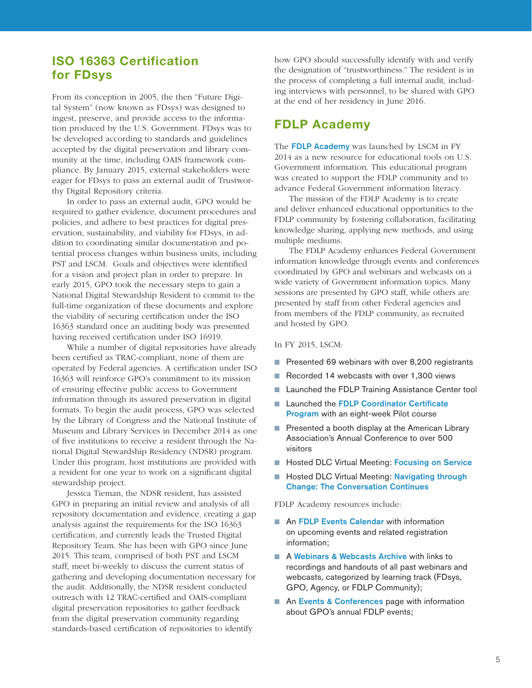#### ISO 16363 Certification for FDsys

From its conception in 2005, the then "Future Digital System" (now known as FDsys) was designed to ingest, preserve, and provide access to the information produced by the U.S. Government. FDsys was to be developed according to standards and guidelines accepted by the digital preservation and library community at the time, including OAIS framework compliance. By January 2015, external stakeholders were eager for FDsys to pass an external audit of Trustworthy Digital Repository criteria.

In order to pass an external audit, GPO would be required to gather evidence, document procedures and policies, and adhere to best practices for digital preservation, sustainability, and viability for FDsys, in addition to coordinating similar documentation and potential process changes within business units, including PST and LSCM. Goals and objectives were identified for a vision and project plan in order to prepare. In early 2015, GPO took the necessary steps to gain a National Digital Stewardship Resident to commit to the full-time organization of these documents and explore the viability of securing certification under the ISO 16363 standard once an auditing body was presented having received certification under ISO 16919.

While a number of digital repositories have already been certified as TRAC-compliant, none of them are operated by Federal agencies. A certification under ISO 16363 will reinforce GPO's commitment to its mission of ensuring effective public access to Government information through its assured preservation in digital formats. To begin the audit process, GPO was selected by the Library of Congress and the National Institute of Museum and Library Services in December 2014 as one of five institutions to receive a resident through the National Digital Stewardship Residency (NDSR) program. Under this program, host institutions are provided with a resident for one year to work on a significant digital stewardship project.

Jessica Tieman, the NDSR resident, has assisted GPO in preparing an initial review and analysis of all repository documentation and evidence, creating a gap analysis against the requirements for the ISO 16363 certification, and currently leads the Trusted Digital Repository Team. She has been with GPO since June 2015. This team, comprised of both PST and LSCM staff, meet bi-weekly to discuss the current status of gathering and developing documentation necessary for the audit. Additionally, the NDSR resident conducted outreach with 12 TRAC-certified and OAIS-compliant digital preservation repositories to gather feedback from the digital preservation community regarding standards-based certification of repositories to identify

how GPO should successfully identify with and verify the designation of "trustworthiness." The resident is in the process of completing a full internal audit, including interviews with personnel, to be shared with GPO at the end of her residency in June 2016.

#### FDLP Academy

The **FDLP Academy** was launched by LSCM in FY 2014 as a new resource for educational tools on U.S. Government information. This educational program was created to support the FDLP community and to advance Federal Government information literacy.

The mission of the FDLP Academy is to create and deliver enhanced educational opportunities to the FDLP community by fostering collaboration, facilitating knowledge sharing, applying new methods, and using multiple mediums.

The FDLP Academy enhances Federal Government information knowledge through events and conferences coordinated by GPO and webinars and webcasts on a wide variety of Government information topics. Many sessions are presented by GPO staff, while others are presented by staff from other Federal agencies and from members of the FDLP community, as recruited and hosted by GPO.

#### In FY 2015, LSCM:

- Presented 69 webinars with over 8,200 registrants
- Recorded 14 webcasts with over 1,300 views
- Launched the FDLP Training Assistance Center tool
- Launched the FDLP Coordinator Certificate Program with an eight-week Pilot course
- Presented a booth display at the American Library Association's Annual Conference to over 500 visitors
- Hosted DLC Virtual Meeting: Focusing on Service
- Hosted DLC Virtual Meeting: Navigating through Change: The Conversation Continues

FDLP Academy resources include:

- An FDLP Events Calendar with information on upcoming events and related registration information;
- A Webinars & Webcasts Archive with links to recordings and handouts of all past webinars and webcasts, categorized by learning track (FDsys, GPO, Agency, or FDLP Community);
- An Events & Conferences page with information about GPO's annual FDLP events;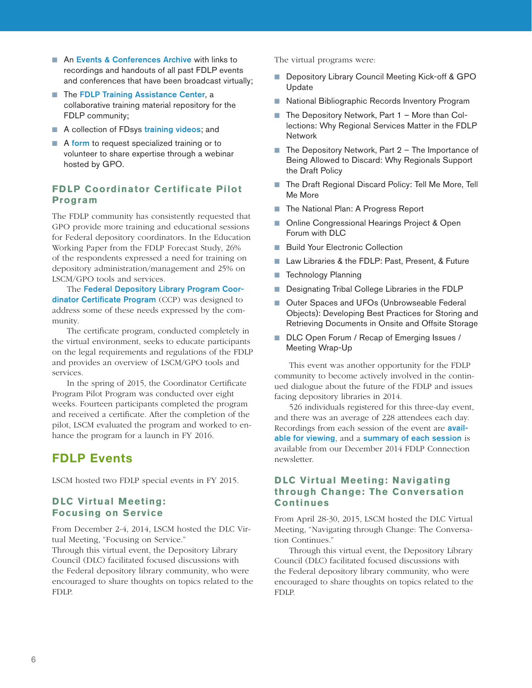- An Events & Conferences Archive with links to recordings and handouts of all past FDLP events and conferences that have been broadcast virtually;
- The FDLP Training Assistance Center, a collaborative training material repository for the FDLP community;
- A collection of FDsys training videos; and
- A form to request specialized training or to volunteer to share expertise through a webinar hosted by GPO.

#### **FDLP Coordinator Certificate Pilot Program**

The FDLP community has consistently requested that GPO provide more training and educational sessions for Federal depository coordinators. In the Education Working Paper from the FDLP Forecast Study, 26% of the respondents expressed a need for training on depository administration/management and 25% on LSCM/GPO tools and services.

The Federal Depository Library Program Coordinator Certificate Program (CCP) was designed to address some of these needs expressed by the community.

The certificate program, conducted completely in the virtual environment, seeks to educate participants on the legal requirements and regulations of the FDLP and provides an overview of LSCM/GPO tools and services.

In the spring of 2015, the Coordinator Certificate Program Pilot Program was conducted over eight weeks. Fourteen participants completed the program and received a certificate. After the completion of the pilot, LSCM evaluated the program and worked to enhance the program for a launch in FY 2016.

# FDLP Events

LSCM hosted two FDLP special events in FY 2015.

#### **DLC Virtual Meeting: Focusing on Service**

From December 2-4, 2014, LSCM hosted the DLC Virtual Meeting, "Focusing on Service."

Through this virtual event, the Depository Library Council (DLC) facilitated focused discussions with the Federal depository library community, who were encouraged to share thoughts on topics related to the FDLP.

The virtual programs were:

- Depository Library Council Meeting Kick-off & GPO Update
- National Bibliographic Records Inventory Program
- The Depository Network, Part 1 More than Collections: Why Regional Services Matter in the FDLP Network
- The Depository Network, Part 2 The Importance of Being Allowed to Discard: Why Regionals Support the Draft Policy
- The Draft Regional Discard Policy: Tell Me More, Tell Me More
- The National Plan: A Progress Report
- Online Congressional Hearings Project & Open Forum with DLC
- Build Your Electronic Collection
- Law Libraries & the FDLP: Past, Present, & Future
- Technology Planning
- Designating Tribal College Libraries in the FDLP
- Outer Spaces and UFOs (Unbrowseable Federal Objects): Developing Best Practices for Storing and Retrieving Documents in Onsite and Offsite Storage
- DLC Open Forum / Recap of Emerging Issues / Meeting Wrap-Up

This event was another opportunity for the FDLP community to become actively involved in the continued dialogue about the future of the FDLP and issues facing depository libraries in 2014.

526 individuals registered for this three-day event, and there was an average of 228 attendees each day. Recordings from each session of the event are **avail**able for viewing, and a summary of each session is available from our December 2014 FDLP Connection newsletter.

#### **DLC Virtual Meeting: Navigating through Change: The Conversation Continues**

From April 28-30, 2015, LSCM hosted the DLC Virtual Meeting, "Navigating through Change: The Conversation Continues."

Through this virtual event, the Depository Library Council (DLC) facilitated focused discussions with the Federal depository library community, who were encouraged to share thoughts on topics related to the FDLP.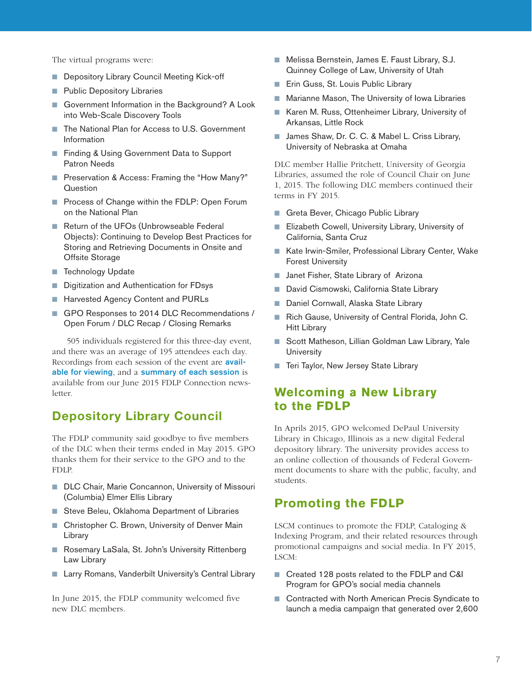The virtual programs were:

- Depository Library Council Meeting Kick-off
- Public Depository Libraries
- Government Information in the Background? A Look into Web-Scale Discovery Tools
- The National Plan for Access to U.S. Government Information
- Finding & Using Government Data to Support Patron Needs
- Preservation & Access: Framing the "How Many?" **Question**
- Process of Change within the FDLP: Open Forum on the National Plan
- Return of the UFOs (Unbrowseable Federal Objects): Continuing to Develop Best Practices for Storing and Retrieving Documents in Onsite and Offsite Storage
- Technology Update
- Digitization and Authentication for FDsys
- Harvested Agency Content and PURLs
- GPO Responses to 2014 DLC Recommendations / Open Forum / DLC Recap / Closing Remarks

505 individuals registered for this three-day event, and there was an average of 195 attendees each day. Recordings from each session of the event are available for viewing, and a summary of each session is available from our June 2015 FDLP Connection newsletter.

#### Depository Library Council

The FDLP community said goodbye to five members of the DLC when their terms ended in May 2015. GPO thanks them for their service to the GPO and to the FDLP.

- DLC Chair, Marie Concannon, University of Missouri (Columbia) Elmer Ellis Library
- Steve Beleu, Oklahoma Department of Libraries
- Christopher C. Brown, University of Denver Main Library
- Rosemary LaSala, St. John's University Rittenberg Law Library
- Larry Romans, Vanderbilt University's Central Library

In June 2015, the FDLP community welcomed five new DLC members.

- Melissa Bernstein, James E. Faust Library, S.J. Quinney College of Law, University of Utah
- Erin Guss, St. Louis Public Library
- Marianne Mason, The University of Iowa Libraries
- Karen M. Russ, Ottenheimer Library, University of Arkansas, Little Rock
- James Shaw, Dr. C. C. & Mabel L. Criss Library, University of Nebraska at Omaha

DLC member Hallie Pritchett, University of Georgia Libraries, assumed the role of Council Chair on June 1, 2015. The following DLC members continued their terms in FY 2015.

- Greta Bever, Chicago Public Library
- Elizabeth Cowell, University Library, University of California, Santa Cruz
- Kate Irwin-Smiler, Professional Library Center, Wake Forest University
- Janet Fisher, State Library of Arizona
- David Cismowski, California State Library
- Daniel Cornwall, Alaska State Library
- Rich Gause, University of Central Florida, John C. Hitt Library
- Scott Matheson, Lillian Goldman Law Library, Yale **University**
- Teri Taylor, New Jersey State Library

## **Welcoming a New Library to the FDLP**

In Aprils 2015, GPO welcomed DePaul University Library in Chicago, Illinois as a new digital Federal depository library. The university provides access to an online collection of thousands of Federal Government documents to share with the public, faculty, and students.

#### **Promoting the FDLP**

LSCM continues to promote the FDLP, Cataloging & Indexing Program, and their related resources through promotional campaigns and social media. In FY 2015, LSCM:

- Created 128 posts related to the FDLP and C&I Program for GPO's social media channels
- Contracted with North American Precis Syndicate to launch a media campaign that generated over 2,600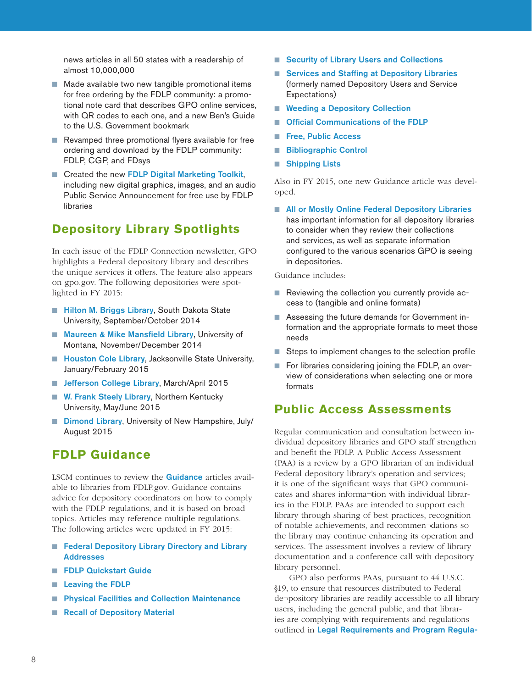news articles in all 50 states with a readership of almost 10,000,000

- Made available two new tangible promotional items for free ordering by the FDLP community: a promotional note card that describes GPO online services, with QR codes to each one, and a new Ben's Guide to the U.S. Government bookmark
- Revamped three promotional flyers available for free ordering and download by the FDLP community: FDLP, CGP, and FDsys
- Created the new FDLP Digital Marketing Toolkit, including new digital graphics, images, and an audio Public Service Announcement for free use by FDLP libraries

## **Depository Library Spotlights**

In each issue of the FDLP Connection newsletter, GPO highlights a Federal depository library and describes the unique services it offers. The feature also appears on gpo.gov. The following depositories were spotlighted in FY 2015:

- Hilton M. Briggs Library, South Dakota State University, September/October 2014
- Maureen & Mike Mansfield Library, University of Montana, November/December 2014
- Houston Cole Library, Jacksonville State University, January/February 2015
- Jefferson College Library, March/April 2015
- W. Frank Steely Library, Northern Kentucky University, May/June 2015
- Dimond Library, University of New Hampshire, July/ August 2015

#### **FDLP Guidance**

LSCM continues to review the Guidance articles available to libraries from FDLP.gov. Guidance contains advice for depository coordinators on how to comply with the FDLP regulations, and it is based on broad topics. Articles may reference multiple regulations. The following articles were updated in FY 2015:

- Federal Depository Library Directory and Library Addresses
- FDLP Quickstart Guide
- Leaving the FDLP
- **Physical Facilities and Collection Maintenance**
- Recall of Depository Material
- Security of Library Users and Collections
- Services and Staffing at Depository Libraries (formerly named Depository Users and Service Expectations)
- Weeding a Depository Collection
- Official Communications of the FDLP
- Free, Public Access
- Bibliographic Control
- Shipping Lists

Also in FY 2015, one new Guidance article was developed.

■ All or Mostly Online Federal Depository Libraries has important information for all depository libraries to consider when they review their collections and services, as well as separate information configured to the various scenarios GPO is seeing in depositories.

Guidance includes:

- Reviewing the collection you currently provide access to (tangible and online formats)
- Assessing the future demands for Government information and the appropriate formats to meet those needs
- Steps to implement changes to the selection profile
- For libraries considering joining the FDLP, an overview of considerations when selecting one or more formats

#### **Public Access Assessments**

Regular communication and consultation between individual depository libraries and GPO staff strengthen and benefit the FDLP. A Public Access Assessment (PAA) is a review by a GPO librarian of an individual Federal depository library's operation and services; it is one of the significant ways that GPO communicates and shares informa¬tion with individual libraries in the FDLP. PAAs are intended to support each library through sharing of best practices, recognition of notable achievements, and recommen¬dations so the library may continue enhancing its operation and services. The assessment involves a review of library documentation and a conference call with depository library personnel.

GPO also performs PAAs, pursuant to 44 U.S.C. §19, to ensure that resources distributed to Federal de¬pository libraries are readily accessible to all library users, including the general public, and that libraries are complying with requirements and regulations outlined in Legal Requirements and Program Regula-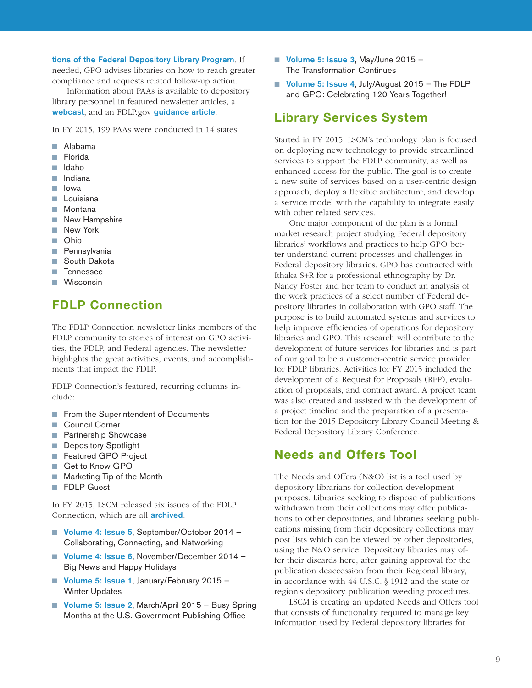#### tions of the Federal Depository Library Program. If

needed, GPO advises libraries on how to reach greater compliance and requests related follow-up action.

Information about PAAs is available to depository library personnel in featured newsletter articles, a webcast, and an FDLP.gov guidance article.

In FY 2015, 199 PAAs were conducted in 14 states:

- Alabama
- Florida
- Idaho
- Indiana
- Iowa
- Louisiana
- Montana
- New Hampshire
- New York
- Ohio
- Pennsylvania
- South Dakota
- Tennessee
- Wisconsin

## FDLP Connection

The FDLP Connection newsletter links members of the FDLP community to stories of interest on GPO activities, the FDLP, and Federal agencies. The newsletter highlights the great activities, events, and accomplishments that impact the FDLP.

FDLP Connection's featured, recurring columns include:

- From the Superintendent of Documents
- Council Corner
- Partnership Showcase
- Depository Spotlight
- Featured GPO Project
- Get to Know GPO
- Marketing Tip of the Month
- FDLP Guest

In FY 2015, LSCM released six issues of the FDLP Connection, which are all **archived**.

- Volume 4: Issue 5, September/October 2014 Collaborating, Connecting, and Networking
- Volume 4: Issue 6, November/December 2014 Big News and Happy Holidays
- Volume 5: Issue 1, January/February 2015 -Winter Updates
- Volume 5: Issue 2, March/April 2015 Busy Spring Months at the U.S. Government Publishing Office
- Volume 5: Issue 3, May/June 2015 -The Transformation Continues
- Volume 5: Issue 4, July/August 2015 The FDLP and GPO: Celebrating 120 Years Together!

#### Library Services System

Started in FY 2015, LSCM's technology plan is focused on deploying new technology to provide streamlined services to support the FDLP community, as well as enhanced access for the public. The goal is to create a new suite of services based on a user-centric design approach, deploy a flexible architecture, and develop a service model with the capability to integrate easily with other related services.

One major component of the plan is a formal market research project studying Federal depository libraries' workflows and practices to help GPO better understand current processes and challenges in Federal depository libraries. GPO has contracted with Ithaka S+R for a professional ethnography by Dr. Nancy Foster and her team to conduct an analysis of the work practices of a select number of Federal depository libraries in collaboration with GPO staff. The purpose is to build automated systems and services to help improve efficiencies of operations for depository libraries and GPO. This research will contribute to the development of future services for libraries and is part of our goal to be a customer-centric service provider for FDLP libraries. Activities for FY 2015 included the development of a Request for Proposals (RFP), evaluation of proposals, and contract award. A project team was also created and assisted with the development of a project timeline and the preparation of a presentation for the 2015 Depository Library Council Meeting & Federal Depository Library Conference.

#### **Needs and Offers Tool**

The Needs and Offers (N&O) list is a tool used by depository librarians for collection development purposes. Libraries seeking to dispose of publications withdrawn from their collections may offer publications to other depositories, and libraries seeking publications missing from their depository collections may post lists which can be viewed by other depositories, using the N&O service. Depository libraries may offer their discards here, after gaining approval for the publication deaccession from their Regional library, in accordance with 44 U.S.C. § 1912 and the state or region's depository publication weeding procedures.

LSCM is creating an updated Needs and Offers tool that consists of functionality required to manage key information used by Federal depository libraries for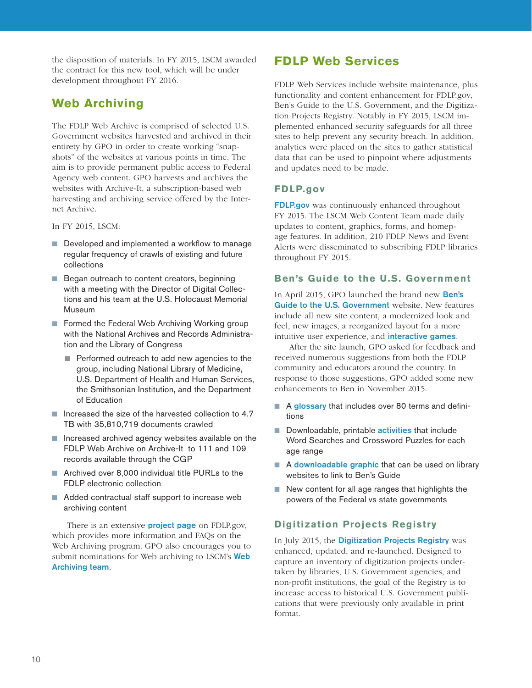the disposition of materials. In FY 2015, LSCM awarded the contract for this new tool, which will be under development throughout FY 2016.

## **Web Archiving**

The FDLP Web Archive is comprised of selected U.S. Government websites harvested and archived in their entirety by GPO in order to create working "snapshots" of the websites at various points in time. The aim is to provide permanent public access to Federal Agency web content. GPO harvests and archives the websites with Archive-It, a subscription-based web harvesting and archiving service offered by the Internet Archive.

In FY 2015, LSCM:

- Developed and implemented a workflow to manage regular frequency of crawls of existing and future collections
- Began outreach to content creators, beginning with a meeting with the Director of Digital Collections and his team at the U.S. Holocaust Memorial Museum
- Formed the Federal Web Archiving Working group with the National Archives and Records Administration and the Library of Congress
	- Performed outreach to add new agencies to the group, including National Library of Medicine, U.S. Department of Health and Human Services, the Smithsonian Institution, and the Department of Education
- Increased the size of the harvested collection to 4.7 TB with 35,810,719 documents crawled
- Increased archived agency websites available on the FDLP Web Archive on Archive-It to 111 and 109 records available through the CGP
- Archived over 8,000 individual title PURLs to the FDLP electronic collection
- Added contractual staff support to increase web archiving content

There is an extensive **project page** on FDLP.gov, which provides more information and FAQs on the Web Archiving program. GPO also encourages you to submit nominations for Web archiving to LSCM's Web Archiving team.

## **FDLP Web Services**

FDLP Web Services include website maintenance, plus functionality and content enhancement for FDLP.gov, Ben's Guide to the U.S. Government, and the Digitization Projects Registry. Notably in FY 2015, LSCM implemented enhanced security safeguards for all three sites to help prevent any security breach. In addition, analytics were placed on the sites to gather statistical data that can be used to pinpoint where adjustments and updates need to be made.

#### **FDLP.gov**

FDLP.gov was continuously enhanced throughout FY 2015. The LSCM Web Content Team made daily updates to content, graphics, forms, and homepage features. In addition, 210 FDLP News and Event Alerts were disseminated to subscribing FDLP libraries throughout FY 2015.

#### **Ben's Guide to the U.S. Government**

In April 2015, GPO launched the brand new Ben's Guide to the U.S. Government website. New features include all new site content, a modernized look and feel, new images, a reorganized layout for a more intuitive user experience, and **interactive games**.

After the site launch, GPO asked for feedback and received numerous suggestions from both the FDLP community and educators around the country. In response to those suggestions, GPO added some new enhancements to Ben in November 2015.

- A glossary that includes over 80 terms and definitions
- Downloadable, printable **activities** that include Word Searches and Crossword Puzzles for each age range
- A downloadable graphic that can be used on library websites to link to Ben's Guide
- New content for all age ranges that highlights the powers of the Federal vs state governments

#### **Digitization Projects Registry**

In July 2015, the Digitization Projects Registry was enhanced, updated, and re-launched. Designed to capture an inventory of digitization projects undertaken by libraries, U.S. Government agencies, and non-profit institutions, the goal of the Registry is to increase access to historical U.S. Government publications that were previously only available in print format.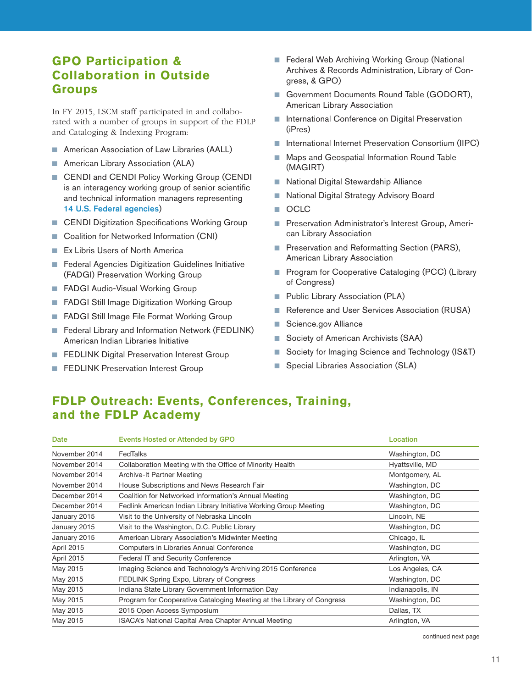## **GPO Participation & Collaboration in Outside Groups**

In FY 2015, LSCM staff participated in and collaborated with a number of groups in support of the FDLP and Cataloging & Indexing Program:

- American Association of Law Libraries (AALL)
- American Library Association (ALA)
- CENDI and CENDI Policy Working Group (CENDI is an interagency working group of senior scientific and technical information managers representing 14 U.S. Federal agencies)
- CENDI Digitization Specifications Working Group
- Coalition for Networked Information (CNI)
- Ex Libris Users of North America
- Federal Agencies Digitization Guidelines Initiative (FADGI) Preservation Working Group
- FADGI Audio-Visual Working Group
- FADGI Still Image Digitization Working Group
- FADGI Still Image File Format Working Group
- Federal Library and Information Network (FEDLINK) American Indian Libraries Initiative
- FEDLINK Digital Preservation Interest Group
- **FEDLINK Preservation Interest Group**
- Federal Web Archiving Working Group (National Archives & Records Administration, Library of Congress, & GPO)
- Government Documents Round Table (GODORT), American Library Association
- International Conference on Digital Preservation (iPres)
- International Internet Preservation Consortium (IIPC)
- Maps and Geospatial Information Round Table (MAGIRT)
- National Digital Stewardship Alliance
- National Digital Strategy Advisory Board
- OCLC
- Preservation Administrator's Interest Group, American Library Association
- Preservation and Reformatting Section (PARS), American Library Association
- Program for Cooperative Cataloging (PCC) (Library of Congress)
- Public Library Association (PLA)
- Reference and User Services Association (RUSA)
- Science.gov Alliance
- Society of American Archivists (SAA)
- Society for Imaging Science and Technology (IS&T)
- Special Libraries Association (SLA)

## **FDLP Outreach: Events, Conferences, Training, and the FDLP Academy**

| Date          | Events Hosted or Attended by GPO                                      | Location         |
|---------------|-----------------------------------------------------------------------|------------------|
| November 2014 | FedTalks                                                              | Washington, DC   |
| November 2014 | Collaboration Meeting with the Office of Minority Health              | Hyattsville, MD  |
| November 2014 | Archive-It Partner Meeting                                            | Montgomery, AL   |
| November 2014 | House Subscriptions and News Research Fair                            | Washington, DC   |
| December 2014 | Coalition for Networked Information's Annual Meeting                  | Washington, DC   |
| December 2014 | Fedlink American Indian Library Initiative Working Group Meeting      | Washington, DC   |
| January 2015  | Visit to the University of Nebraska Lincoln                           | Lincoln, NE      |
| January 2015  | Visit to the Washington, D.C. Public Library                          | Washington, DC   |
| January 2015  | American Library Association's Midwinter Meeting                      | Chicago, IL      |
| April 2015    | Computers in Libraries Annual Conference                              | Washington, DC   |
| April 2015    | Federal IT and Security Conference                                    | Arlington, VA    |
| May 2015      | Imaging Science and Technology's Archiving 2015 Conference            | Los Angeles, CA  |
| May 2015      | FEDLINK Spring Expo, Library of Congress                              | Washington, DC   |
| May 2015      | Indiana State Library Government Information Day                      | Indianapolis, IN |
| May 2015      | Program for Cooperative Cataloging Meeting at the Library of Congress | Washington, DC   |
| May 2015      | 2015 Open Access Symposium                                            | Dallas, TX       |
| May 2015      | ISACA's National Capital Area Chapter Annual Meeting                  | Arlington, VA    |

continued next page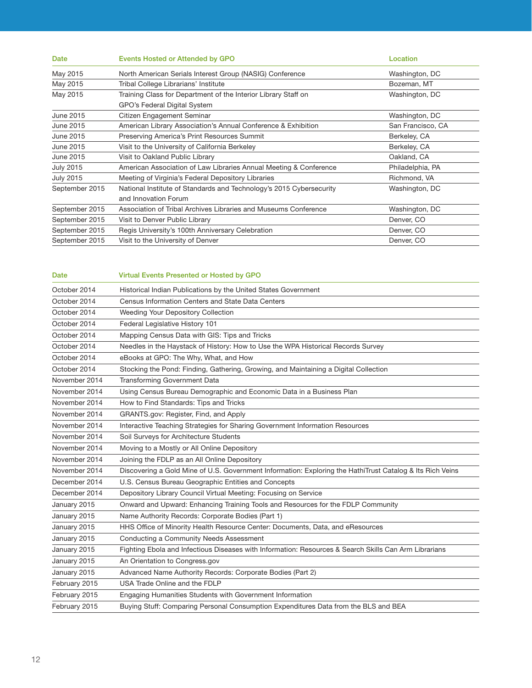| Date             | Events Hosted or Attended by GPO                                    | Location          |
|------------------|---------------------------------------------------------------------|-------------------|
| May 2015         | North American Serials Interest Group (NASIG) Conference            | Washington, DC    |
| May 2015         | Tribal College Librarians' Institute                                | Bozeman, MT       |
| May 2015         | Training Class for Department of the Interior Library Staff on      | Washington, DC    |
|                  | GPO's Federal Digital System                                        |                   |
| <b>June 2015</b> | Citizen Engagement Seminar                                          | Washington, DC    |
| <b>June 2015</b> | American Library Association's Annual Conference & Exhibition       | San Francisco, CA |
| June 2015        | Preserving America's Print Resources Summit                         | Berkeley, CA      |
| June 2015        | Visit to the University of California Berkeley                      | Berkeley, CA      |
| <b>June 2015</b> | Visit to Oakland Public Library                                     | Oakland, CA       |
| <b>July 2015</b> | American Association of Law Libraries Annual Meeting & Conference   | Philadelphia, PA  |
| <b>July 2015</b> | Meeting of Virginia's Federal Depository Libraries                  | Richmond, VA      |
| September 2015   | National Institute of Standards and Technology's 2015 Cybersecurity | Washington, DC    |
|                  | and Innovation Forum                                                |                   |
| September 2015   | Association of Tribal Archives Libraries and Museums Conference     | Washington, DC    |
| September 2015   | Visit to Denver Public Library                                      | Denver, CO        |
| September 2015   | Regis University's 100th Anniversary Celebration                    | Denver, CO        |
| September 2015   | Visit to the University of Denver                                   | Denver, CO        |

| Date          | <b>Virtual Events Presented or Hosted by GPO</b>                                                          |
|---------------|-----------------------------------------------------------------------------------------------------------|
| October 2014  | Historical Indian Publications by the United States Government                                            |
| October 2014  | Census Information Centers and State Data Centers                                                         |
| October 2014  | Weeding Your Depository Collection                                                                        |
| October 2014  | Federal Legislative History 101                                                                           |
| October 2014  | Mapping Census Data with GIS: Tips and Tricks                                                             |
| October 2014  | Needles in the Haystack of History: How to Use the WPA Historical Records Survey                          |
| October 2014  | eBooks at GPO: The Why, What, and How                                                                     |
| October 2014  | Stocking the Pond: Finding, Gathering, Growing, and Maintaining a Digital Collection                      |
| November 2014 | <b>Transforming Government Data</b>                                                                       |
| November 2014 | Using Census Bureau Demographic and Economic Data in a Business Plan                                      |
| November 2014 | How to Find Standards: Tips and Tricks                                                                    |
| November 2014 | GRANTS.gov: Register, Find, and Apply                                                                     |
| November 2014 | Interactive Teaching Strategies for Sharing Government Information Resources                              |
| November 2014 | Soil Surveys for Architecture Students                                                                    |
| November 2014 | Moving to a Mostly or All Online Depository                                                               |
| November 2014 | Joining the FDLP as an All Online Depository                                                              |
| November 2014 | Discovering a Gold Mine of U.S. Government Information: Exploring the HathiTrust Catalog & Its Rich Veins |
| December 2014 | U.S. Census Bureau Geographic Entities and Concepts                                                       |
| December 2014 | Depository Library Council Virtual Meeting: Focusing on Service                                           |
| January 2015  | Onward and Upward: Enhancing Training Tools and Resources for the FDLP Community                          |
| January 2015  | Name Authority Records: Corporate Bodies (Part 1)                                                         |
| January 2015  | HHS Office of Minority Health Resource Center: Documents, Data, and eResources                            |
| January 2015  | Conducting a Community Needs Assessment                                                                   |
| January 2015  | Fighting Ebola and Infectious Diseases with Information: Resources & Search Skills Can Arm Librarians     |
| January 2015  | An Orientation to Congress.gov                                                                            |
| January 2015  | Advanced Name Authority Records: Corporate Bodies (Part 2)                                                |
| February 2015 | USA Trade Online and the FDLP                                                                             |
| February 2015 | Engaging Humanities Students with Government Information                                                  |
| February 2015 | Buying Stuff: Comparing Personal Consumption Expenditures Data from the BLS and BEA                       |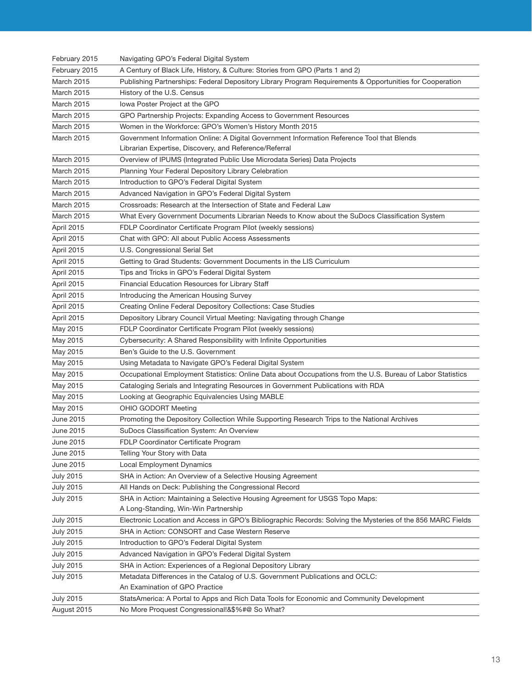| February 2015          | Navigating GPO's Federal Digital System                                                                     |
|------------------------|-------------------------------------------------------------------------------------------------------------|
| February 2015          | A Century of Black Life, History, & Culture: Stories from GPO (Parts 1 and 2)                               |
| <b>March 2015</b>      | Publishing Partnerships: Federal Depository Library Program Requirements & Opportunities for Cooperation    |
| <b>March 2015</b>      | History of the U.S. Census                                                                                  |
| <b>March 2015</b>      | lowa Poster Project at the GPO                                                                              |
| <b>March 2015</b>      | GPO Partnership Projects: Expanding Access to Government Resources                                          |
| <b>March 2015</b>      | Women in the Workforce: GPO's Women's History Month 2015                                                    |
| <b>March 2015</b>      | Government Information Online: A Digital Government Information Reference Tool that Blends                  |
|                        | Librarian Expertise, Discovery, and Reference/Referral                                                      |
| <b>March 2015</b>      | Overview of IPUMS (Integrated Public Use Microdata Series) Data Projects                                    |
| <b>March 2015</b>      | Planning Your Federal Depository Library Celebration                                                        |
| March 2015             | Introduction to GPO's Federal Digital System                                                                |
| <b>March 2015</b>      | Advanced Navigation in GPO's Federal Digital System                                                         |
| <b>March 2015</b>      | Crossroads: Research at the Intersection of State and Federal Law                                           |
| <b>March 2015</b>      | What Every Government Documents Librarian Needs to Know about the SuDocs Classification System              |
| April 2015             | FDLP Coordinator Certificate Program Pilot (weekly sessions)                                                |
| April 2015             | Chat with GPO: All about Public Access Assessments                                                          |
| April 2015             | U.S. Congressional Serial Set                                                                               |
| April 2015             | Getting to Grad Students: Government Documents in the LIS Curriculum                                        |
| April 2015             | Tips and Tricks in GPO's Federal Digital System                                                             |
| April 2015             | Financial Education Resources for Library Staff                                                             |
| April 2015             | Introducing the American Housing Survey                                                                     |
| April 2015             | Creating Online Federal Depository Collections: Case Studies                                                |
| April 2015             | Depository Library Council Virtual Meeting: Navigating through Change                                       |
| May 2015               | FDLP Coordinator Certificate Program Pilot (weekly sessions)                                                |
| May 2015               | Cybersecurity: A Shared Responsibility with Infinite Opportunities                                          |
| May 2015               | Ben's Guide to the U.S. Government                                                                          |
|                        |                                                                                                             |
| May 2015               | Using Metadata to Navigate GPO's Federal Digital System                                                     |
| May 2015               | Occupational Employment Statistics: Online Data about Occupations from the U.S. Bureau of Labor Statistics  |
| May 2015               | Cataloging Serials and Integrating Resources in Government Publications with RDA                            |
| May 2015               | Looking at Geographic Equivalencies Using MABLE                                                             |
| May 2015               | OHIO GODORT Meeting                                                                                         |
| June 2015              | Promoting the Depository Collection While Supporting Research Trips to the National Archives                |
| June 2015              | SuDocs Classification System: An Overview                                                                   |
|                        |                                                                                                             |
| June 2015<br>June 2015 | FDLP Coordinator Certificate Program<br>Telling Your Story with Data                                        |
| June 2015              | Local Employment Dynamics                                                                                   |
| <b>July 2015</b>       | SHA in Action: An Overview of a Selective Housing Agreement                                                 |
| <b>July 2015</b>       | All Hands on Deck: Publishing the Congressional Record                                                      |
| <b>July 2015</b>       | SHA in Action: Maintaining a Selective Housing Agreement for USGS Topo Maps:                                |
|                        | A Long-Standing, Win-Win Partnership                                                                        |
| <b>July 2015</b>       | Electronic Location and Access in GPO's Bibliographic Records: Solving the Mysteries of the 856 MARC Fields |
| <b>July 2015</b>       | SHA in Action: CONSORT and Case Western Reserve                                                             |
| <b>July 2015</b>       | Introduction to GPO's Federal Digital System                                                                |
| <b>July 2015</b>       | Advanced Navigation in GPO's Federal Digital System                                                         |
| <b>July 2015</b>       | SHA in Action: Experiences of a Regional Depository Library                                                 |
| <b>July 2015</b>       | Metadata Differences in the Catalog of U.S. Government Publications and OCLC:                               |
|                        | An Examination of GPO Practice                                                                              |
| <b>July 2015</b>       | StatsAmerica: A Portal to Apps and Rich Data Tools for Economic and Community Development                   |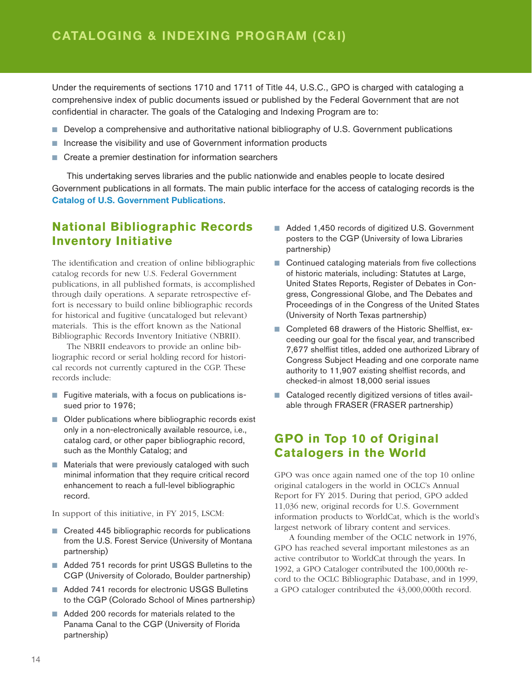Under the requirements of sections 1710 and 1711 of Title 44, U.S.C., GPO is charged with cataloging a comprehensive index of public documents issued or published by the Federal Government that are not confidential in character. The goals of the Cataloging and Indexing Program are to:

- Develop a comprehensive and authoritative national bibliography of U.S. Government publications
- Increase the visibility and use of Government information products
- Create a premier destination for information searchers

This undertaking serves libraries and the public nationwide and enables people to locate desired Government publications in all formats. The main public interface for the access of cataloging records is the Catalog of U.S. Government Publications.

### **National Bibliographic Records Inventory Initiative**

The identification and creation of online bibliographic catalog records for new U.S. Federal Government publications, in all published formats, is accomplished through daily operations. A separate retrospective effort is necessary to build online bibliographic records for historical and fugitive (uncataloged but relevant) materials. This is the effort known as the National Bibliographic Records Inventory Initiative (NBRII).

The NBRII endeavors to provide an online bibliographic record or serial holding record for historical records not currently captured in the CGP. These records include:

- Fugitive materials, with a focus on publications issued prior to 1976;
- Older publications where bibliographic records exist only in a non-electronically available resource, i.e., catalog card, or other paper bibliographic record, such as the Monthly Catalog; and
- Materials that were previously cataloged with such minimal information that they require critical record enhancement to reach a full-level bibliographic record.

In support of this initiative, in FY 2015, LSCM:

- Created 445 bibliographic records for publications from the U.S. Forest Service (University of Montana partnership)
- Added 751 records for print USGS Bulletins to the CGP (University of Colorado, Boulder partnership)
- Added 741 records for electronic USGS Bulletins to the CGP (Colorado School of Mines partnership)
- Added 200 records for materials related to the Panama Canal to the CGP (University of Florida partnership)
- Added 1,450 records of digitized U.S. Government posters to the CGP (University of Iowa Libraries partnership)
- Continued cataloging materials from five collections of historic materials, including: Statutes at Large, United States Reports, Register of Debates in Congress, Congressional Globe, and The Debates and Proceedings of in the Congress of the United States (University of North Texas partnership)
- Completed 68 drawers of the Historic Shelflist, exceeding our goal for the fiscal year, and transcribed 7,677 shelflist titles, added one authorized Library of Congress Subject Heading and one corporate name authority to 11,907 existing shelflist records, and checked-in almost 18,000 serial issues
- Cataloged recently digitized versions of titles available through FRASER (FRASER partnership)

#### **GPO in Top 10 of Original Catalogers in the World**

GPO was once again named one of the top 10 online original catalogers in the world in OCLC's Annual Report for FY 2015. During that period, GPO added 11,036 new, original records for U.S. Government information products to WorldCat, which is the world's largest network of library content and services.

A founding member of the OCLC network in 1976, GPO has reached several important milestones as an active contributor to WorldCat through the years. In 1992, a GPO Cataloger contributed the 100,000th record to the OCLC Bibliographic Database, and in 1999, a GPO cataloger contributed the 43,000,000th record.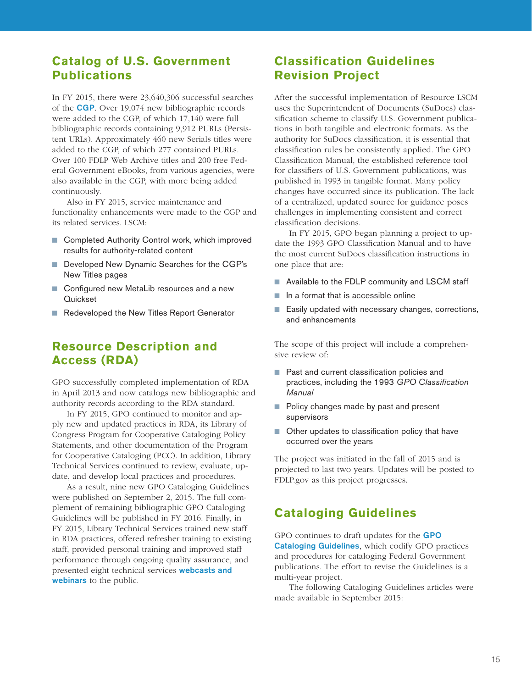### **Catalog of U.S. Government Publications**

In FY 2015, there were 23,640,306 successful searches of the CGP. Over 19,074 new bibliographic records were added to the CGP, of which 17,140 were full bibliographic records containing 9,912 PURLs (Persistent URLs). Approximately 460 new Serials titles were added to the CGP, of which 277 contained PURLs. Over 100 FDLP Web Archive titles and 200 free Federal Government eBooks, from various agencies, were also available in the CGP, with more being added continuously.

Also in FY 2015, service maintenance and functionality enhancements were made to the CGP and its related services. LSCM:

- Completed Authority Control work, which improved results for authority-related content
- Developed New Dynamic Searches for the CGP's New Titles pages
- Configured new MetaLib resources and a new **Ouickset**
- Redeveloped the New Titles Report Generator

## **Resource Description and Access (RDA)**

GPO successfully completed implementation of RDA in April 2013 and now catalogs new bibliographic and authority records according to the RDA standard.

In FY 2015, GPO continued to monitor and apply new and updated practices in RDA, its Library of Congress Program for Cooperative Cataloging Policy Statements, and other documentation of the Program for Cooperative Cataloging (PCC). In addition, Library Technical Services continued to review, evaluate, update, and develop local practices and procedures.

As a result, nine new GPO Cataloging Guidelines were published on September 2, 2015. The full complement of remaining bibliographic GPO Cataloging Guidelines will be published in FY 2016. Finally, in FY 2015, Library Technical Services trained new staff in RDA practices, offered refresher training to existing staff, provided personal training and improved staff performance through ongoing quality assurance, and presented eight technical services webcasts and webinars to the public.

## **Classification Guidelines Revision Project**

After the successful implementation of Resource LSCM uses the Superintendent of Documents (SuDocs) classification scheme to classify U.S. Government publications in both tangible and electronic formats. As the authority for SuDocs classification, it is essential that classification rules be consistently applied. The GPO Classification Manual, the established reference tool for classifiers of U.S. Government publications, was published in 1993 in tangible format. Many policy changes have occurred since its publication. The lack of a centralized, updated source for guidance poses challenges in implementing consistent and correct classification decisions.

In FY 2015, GPO began planning a project to update the 1993 GPO Classification Manual and to have the most current SuDocs classification instructions in one place that are:

- Available to the FDLP community and LSCM staff
- In a format that is accessible online
- Easily updated with necessary changes, corrections, and enhancements

The scope of this project will include a comprehensive review of:

- Past and current classification policies and practices, including the 1993 *GPO Classification Manual*
- Policy changes made by past and present supervisors
- Other updates to classification policy that have occurred over the years

The project was initiated in the fall of 2015 and is projected to last two years. Updates will be posted to FDLP.gov as this project progresses.

## **Cataloging Guidelines**

GPO continues to draft updates for the GPO Cataloging Guidelines, which codify GPO practices and procedures for cataloging Federal Government publications. The effort to revise the Guidelines is a multi-year project.

The following Cataloging Guidelines articles were made available in September 2015: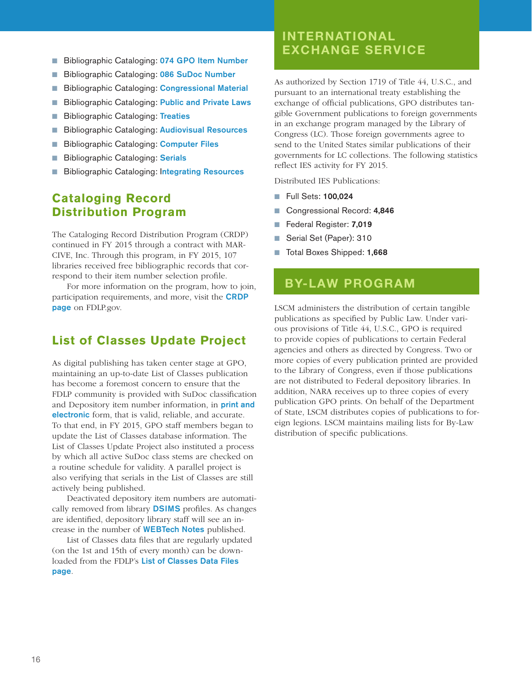- Bibliographic Cataloging: 074 GPO Item Number
- Bibliographic Cataloging: 086 SuDoc Number
- Bibliographic Cataloging: Congressional Material
- Bibliographic Cataloging: Public and Private Laws
- Bibliographic Cataloging: Treaties
- Bibliographic Cataloging: Audiovisual Resources
- Bibliographic Cataloging: Computer Files
- **Bibliographic Cataloging: Serials**
- **Bibliographic Cataloging: Integrating Resources**

#### **Cataloging Record Distribution Program**

The Cataloging Record Distribution Program (CRDP) continued in FY 2015 through a contract with MAR-CIVE, Inc. Through this program, in FY 2015, 107 libraries received free bibliographic records that correspond to their item number selection profile.

For more information on the program, how to join, participation requirements, and more, visit the CRDP page on FDLP.gov.

#### **List of Classes Update Project**

As digital publishing has taken center stage at GPO, maintaining an up-to-date List of Classes publication has become a foremost concern to ensure that the FDLP community is provided with SuDoc classification and Depository item number information, in **print and** electronic form, that is valid, reliable, and accurate. To that end, in FY 2015, GPO staff members began to update the List of Classes database information. The List of Classes Update Project also instituted a process by which all active SuDoc class stems are checked on a routine schedule for validity. A parallel project is also verifying that serials in the List of Classes are still actively being published.

Deactivated depository item numbers are automatically removed from library DSIMS profiles. As changes are identified, depository library staff will see an increase in the number of WEBTech Notes published.

List of Classes data files that are regularly updated (on the 1st and 15th of every month) can be downloaded from the FDLP's List of Classes Data Files page.

# INTERNATIONAL EXCHANGE SERVICE

As authorized by Section 1719 of Title 44, U.S.C., and pursuant to an international treaty establishing the exchange of official publications, GPO distributes tangible Government publications to foreign governments in an exchange program managed by the Library of Congress (LC). Those foreign governments agree to send to the United States similar publications of their governments for LC collections. The following statistics reflect IES activity for FY 2015.

Distributed IES Publications:

- Full Sets: 100,024
- Congressional Record: 4,846
- Federal Register: 7,019
- Serial Set (Paper): 310
- Total Boxes Shipped: 1,668

## BY-LAW PROGRAM

LSCM administers the distribution of certain tangible publications as specified by Public Law. Under various provisions of Title 44, U.S.C., GPO is required to provide copies of publications to certain Federal agencies and others as directed by Congress. Two or more copies of every publication printed are provided to the Library of Congress, even if those publications are not distributed to Federal depository libraries. In addition, NARA receives up to three copies of every publication GPO prints. On behalf of the Department of State, LSCM distributes copies of publications to foreign legions. LSCM maintains mailing lists for By-Law distribution of specific publications.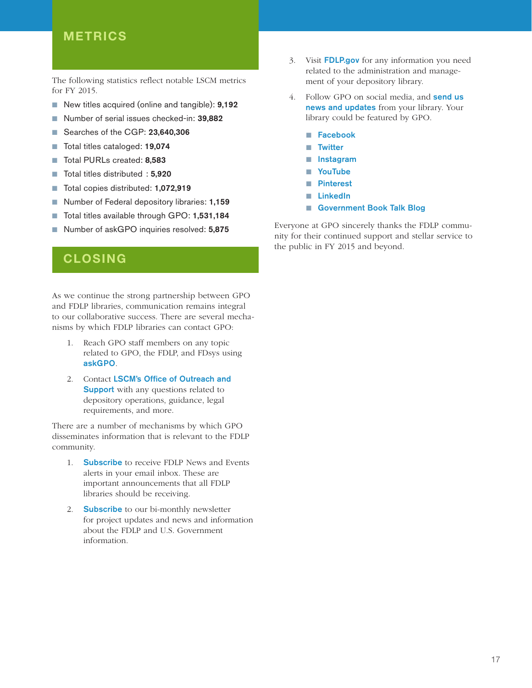## METRICS

The following statistics reflect notable LSCM metrics for FY 2015.

- New titles acquired (online and tangible): 9,192
- Number of serial issues checked-in: 39,882
- Searches of the CGP: 23,640,306
- Total titles cataloged: 19,074
- Total PURLs created: 8,583
- Total titles distributed : 5,920
- Total copies distributed: **1,072,919**
- Number of Federal depository libraries: 1,159
- Total titles available through GPO: 1,531,184
- Number of askGPO inquiries resolved: 5,875

## CLOSING

As we continue the strong partnership between GPO and FDLP libraries, communication remains integral to our collaborative success. There are several mechanisms by which FDLP libraries can contact GPO:

- 1. Reach GPO staff members on any topic related to GPO, the FDLP, and FDsys using askGPO.
- 2. Contact LSCM's Office of Outreach and **Support** with any questions related to depository operations, guidance, legal requirements, and more.

There are a number of mechanisms by which GPO disseminates information that is relevant to the FDLP community.

- 1. **Subscribe** to receive FDLP News and Events alerts in your email inbox. These are important announcements that all FDLP libraries should be receiving.
- 2. **Subscribe** to our bi-monthly newsletter for project updates and news and information about the FDLP and U.S. Government information.
- 3. Visit FDLP.gov for any information you need related to the administration and management of your depository library.
- 4. Follow GPO on social media, and **send us** news and updates from your library. Your library could be featured by GPO.
	- Facebook
	- Twitter
	- Instagram
	- YouTube
	- Pinterest
	- LinkedIn
	- Government Book Talk Blog

Everyone at GPO sincerely thanks the FDLP community for their continued support and stellar service to the public in FY 2015 and beyond.